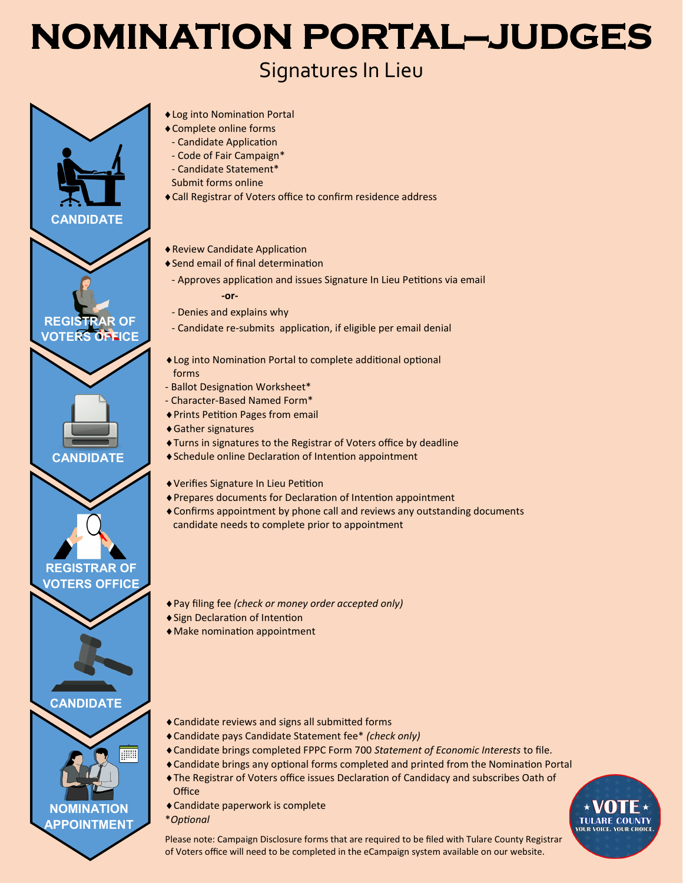# **NOMINATION PORTAL-JUDGES**

## Signatures In Lieu



- Log into Nomination Portal
- Complete online forms
- Candidate Application
- Code of Fair Campaign\* - Candidate Statement\*
- Submit forms online
- Call Registrar of Voters office to confirm residence address
- Review Candidate Application
- ◆ Send email of final determination
- Approves application and issues Signature In Lieu Petitions via email **-or-**
- Denies and explains why
- Candidate re-submits application, if eligible per email denial
- Log into Nomination Portal to complete additional optional forms
- Ballot Designation Worksheet\*
- Character-Based Named Form\*
- Prints Petition Pages from email
- Gather signatures
- Turns in signatures to the Registrar of Voters office by deadline
- Schedule online Declaration of Intention appointment
- Verifies Signature In Lieu Petition
- Prepares documents for Declaration of Intention appointment
- Confirms appointment by phone call and reviews any outstanding documents candidate needs to complete prior to appointment
- Pay filing fee *(check or money order accepted only)*
- Sign Declaration of Intention
- Make nomination appointment
- Candidate reviews and signs all submitted forms
- Candidate pays Candidate Statement fee\* *(check only)*
- Candidate brings completed FPPC Form 700 *Statement of Economic Interests* to file.
- Candidate brings any optional forms completed and printed from the Nomination Portal
- The Registrar of Voters office issues Declaration of Candidacy and subscribes Oath of **Office**
- Candidate paperwork is complete
- \**Optional*



Please note: Campaign Disclosure forms that are required to be filed with Tulare County Registrar of Voters office will need to be completed in the eCampaign system available on our website.